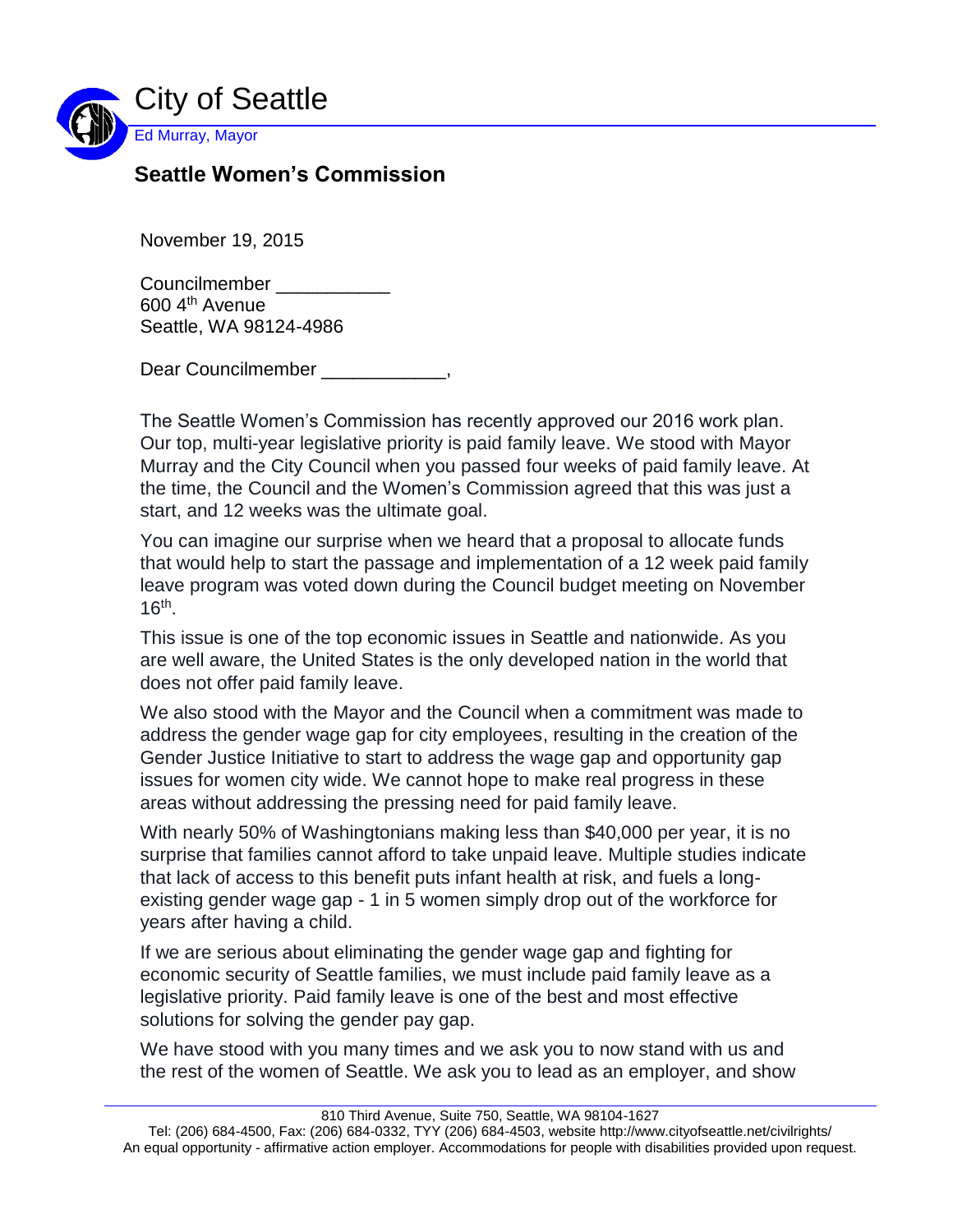

## **Seattle Women's Commission**

November 19, 2015

Councilmember 600 4th Avenue Seattle, WA 98124-4986

Dear Councilmember extending the control of the control of the control of the control of the control of the control of the control of the control of the control of the control of the control of the control of the control o

The Seattle Women's Commission has recently approved our 2016 work plan. Our top, multi-year legislative priority is paid family leave. We stood with Mayor Murray and the City Council when you passed four weeks of paid family leave. At the time, the Council and the Women's Commission agreed that this was just a start, and 12 weeks was the ultimate goal.

You can imagine our surprise when we heard that a proposal to allocate funds that would help to start the passage and implementation of a 12 week paid family leave program was voted down during the Council budget meeting on November  $16<sup>th</sup>$ .

This issue is one of the top economic issues in Seattle and nationwide. As you are well aware, the United States is the only developed nation in the world that does not offer paid family leave.

We also stood with the Mayor and the Council when a commitment was made to address the gender wage gap for city employees, resulting in the creation of the Gender Justice Initiative to start to address the wage gap and opportunity gap issues for women city wide. We cannot hope to make real progress in these areas without addressing the pressing need for paid family leave.

With nearly 50% of Washingtonians making less than \$40,000 per year, it is no surprise that families cannot afford to take unpaid leave. Multiple studies indicate that lack of access to this benefit puts infant health at risk, and fuels a longexisting gender wage gap - 1 in 5 women simply drop out of the workforce for years after having a child.

If we are serious about eliminating the gender wage gap and fighting for economic security of Seattle families, we must include paid family leave as a legislative priority. Paid family leave is one of the best and most effective solutions for solving the gender pay gap.

We have stood with you many times and we ask you to now stand with us and the rest of the women of Seattle. We ask you to lead as an employer, and show

Tel: (206) 684-4500, Fax: (206) 684-0332, TYY (206) 684-4503, website http://www.cityofseattle.net/civilrights/ An equal opportunity - affirmative action employer. Accommodations for people with disabilities provided upon request.